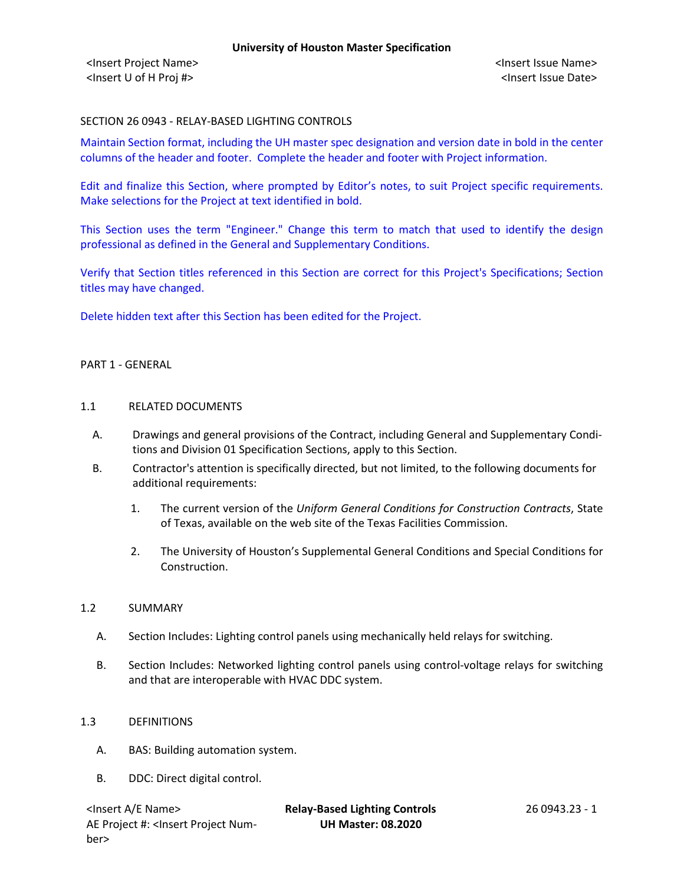#### SECTION 26 0943 - RELAY-BASED LIGHTING CONTROLS

Maintain Section format, including the UH master spec designation and version date in bold in the center columns of the header and footer. Complete the header and footer with Project information.

Edit and finalize this Section, where prompted by Editor's notes, to suit Project specific requirements. Make selections for the Project at text identified in bold.

This Section uses the term "Engineer." Change this term to match that used to identify the design professional as defined in the General and Supplementary Conditions.

Verify that Section titles referenced in this Section are correct for this Project's Specifications; Section titles may have changed.

Delete hidden text after this Section has been edited for the Project.

#### PART 1 - GENERAL

#### 1.1 RELATED DOCUMENTS

- A. Drawings and general provisions of the Contract, including General and Supplementary Conditions and Division 01 Specification Sections, apply to this Section.
- B. Contractor's attention is specifically directed, but not limited, to the following documents for additional requirements:
	- 1. The current version of the *Uniform General Conditions for Construction Contracts*, State of Texas, available on the web site of the Texas Facilities Commission.
	- 2. The University of Houston's Supplemental General Conditions and Special Conditions for Construction.

#### 1.2 SUMMARY

- A. Section Includes: Lighting control panels using mechanically held relays for switching.
- B. Section Includes: Networked lighting control panels using control-voltage relays for switching and that are interoperable with HVAC DDC system.

#### 1.3 DEFINITIONS

- A. BAS: Building automation system.
- B. DDC: Direct digital control.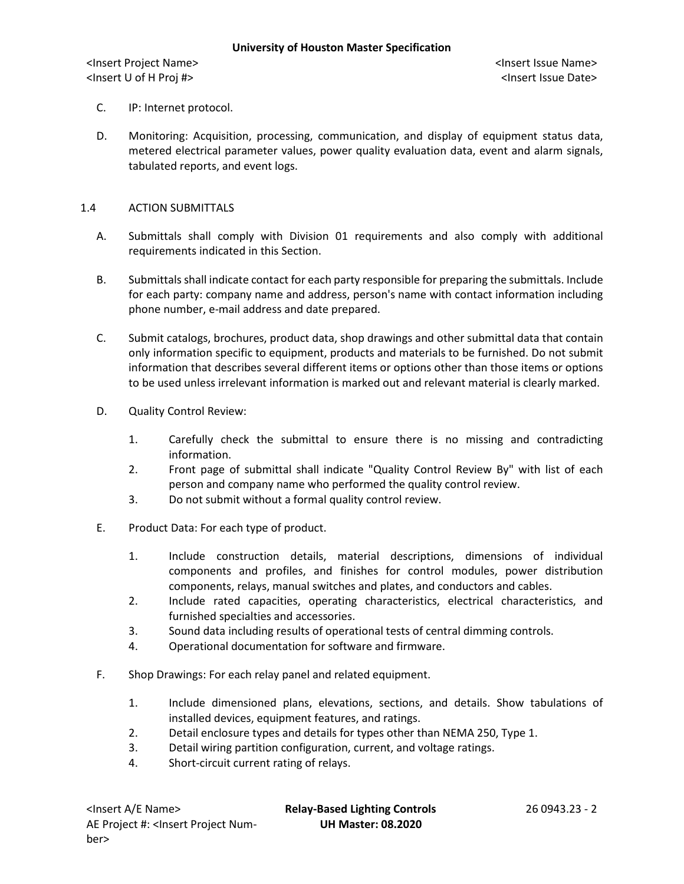- C. IP: Internet protocol.
- D. Monitoring: Acquisition, processing, communication, and display of equipment status data, metered electrical parameter values, power quality evaluation data, event and alarm signals, tabulated reports, and event logs.

#### 1.4 ACTION SUBMITTALS

- A. Submittals shall comply with Division 01 requirements and also comply with additional requirements indicated in this Section.
- B. Submittals shall indicate contact for each party responsible for preparing the submittals. Include for each party: company name and address, person's name with contact information including phone number, e-mail address and date prepared.
- C. Submit catalogs, brochures, product data, shop drawings and other submittal data that contain only information specific to equipment, products and materials to be furnished. Do not submit information that describes several different items or options other than those items or options to be used unless irrelevant information is marked out and relevant material is clearly marked.
- D. Quality Control Review:
	- 1. Carefully check the submittal to ensure there is no missing and contradicting information.
	- 2. Front page of submittal shall indicate "Quality Control Review By" with list of each person and company name who performed the quality control review.
	- 3. Do not submit without a formal quality control review.
- E. Product Data: For each type of product.
	- 1. Include construction details, material descriptions, dimensions of individual components and profiles, and finishes for control modules, power distribution components, relays, manual switches and plates, and conductors and cables.
	- 2. Include rated capacities, operating characteristics, electrical characteristics, and furnished specialties and accessories.
	- 3. Sound data including results of operational tests of central dimming controls.
	- 4. Operational documentation for software and firmware.
- F. Shop Drawings: For each relay panel and related equipment.
	- 1. Include dimensioned plans, elevations, sections, and details. Show tabulations of installed devices, equipment features, and ratings.
	- 2. Detail enclosure types and details for types other than NEMA 250, Type 1.
	- 3. Detail wiring partition configuration, current, and voltage ratings.
	- 4. Short-circuit current rating of relays.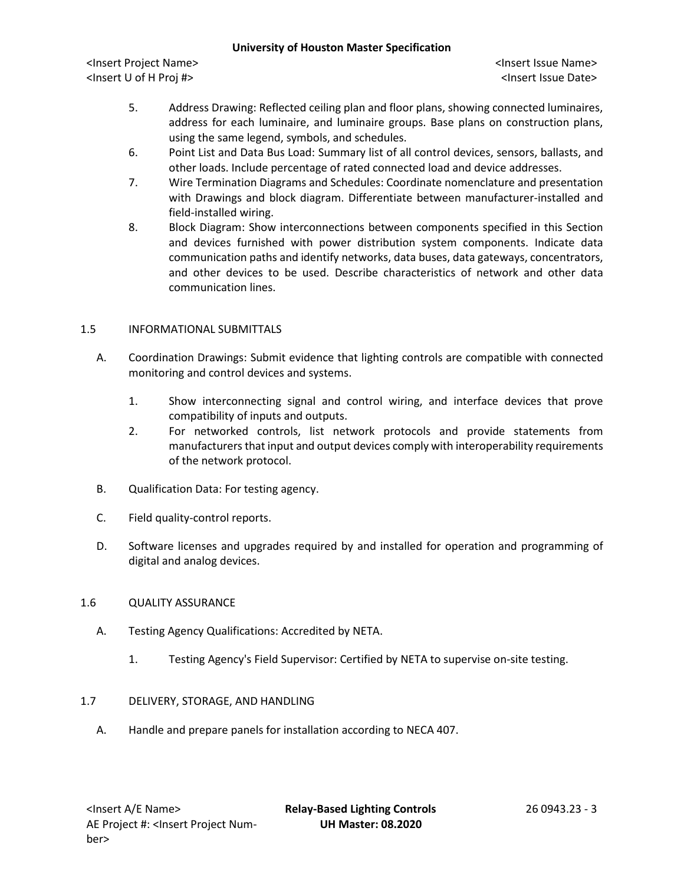#### **University of Houston Master Specification**

<Insert Project Name> <Insert Issue Name> <Insert U of H Proj #> <Insert Issue Date>

- 5. Address Drawing: Reflected ceiling plan and floor plans, showing connected luminaires, address for each luminaire, and luminaire groups. Base plans on construction plans, using the same legend, symbols, and schedules.
- 6. Point List and Data Bus Load: Summary list of all control devices, sensors, ballasts, and other loads. Include percentage of rated connected load and device addresses.
- 7. Wire Termination Diagrams and Schedules: Coordinate nomenclature and presentation with Drawings and block diagram. Differentiate between manufacturer-installed and field-installed wiring.
- 8. Block Diagram: Show interconnections between components specified in this Section and devices furnished with power distribution system components. Indicate data communication paths and identify networks, data buses, data gateways, concentrators, and other devices to be used. Describe characteristics of network and other data communication lines.

# 1.5 INFORMATIONAL SUBMITTALS

- A. Coordination Drawings: Submit evidence that lighting controls are compatible with connected monitoring and control devices and systems.
	- 1. Show interconnecting signal and control wiring, and interface devices that prove compatibility of inputs and outputs.
	- 2. For networked controls, list network protocols and provide statements from manufacturers that input and output devices comply with interoperability requirements of the network protocol.
- B. Qualification Data: For testing agency.
- C. Field quality-control reports.
- D. Software licenses and upgrades required by and installed for operation and programming of digital and analog devices.

# 1.6 QUALITY ASSURANCE

- A. Testing Agency Qualifications: Accredited by NETA.
	- 1. Testing Agency's Field Supervisor: Certified by NETA to supervise on-site testing.

# 1.7 DELIVERY, STORAGE, AND HANDLING

A. Handle and prepare panels for installation according to NECA 407.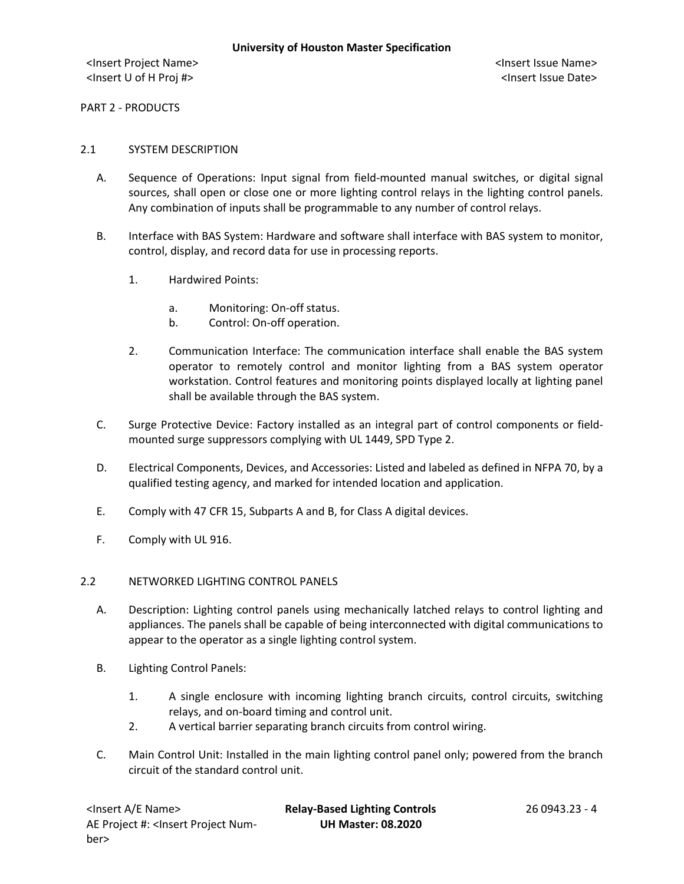PART 2 - PRODUCTS

#### 2.1 SYSTEM DESCRIPTION

- A. Sequence of Operations: Input signal from field-mounted manual switches, or digital signal sources, shall open or close one or more lighting control relays in the lighting control panels. Any combination of inputs shall be programmable to any number of control relays.
- B. Interface with BAS System: Hardware and software shall interface with BAS system to monitor, control, display, and record data for use in processing reports.
	- 1. Hardwired Points:
		- a. Monitoring: On-off status.
		- b. Control: On-off operation.
	- 2. Communication Interface: The communication interface shall enable the BAS system operator to remotely control and monitor lighting from a BAS system operator workstation. Control features and monitoring points displayed locally at lighting panel shall be available through the BAS system.
- C. Surge Protective Device: Factory installed as an integral part of control components or fieldmounted surge suppressors complying with UL 1449, SPD Type 2.
- D. Electrical Components, Devices, and Accessories: Listed and labeled as defined in NFPA 70, by a qualified testing agency, and marked for intended location and application.
- E. Comply with 47 CFR 15, Subparts A and B, for Class A digital devices.
- F. Comply with UL 916.

#### 2.2 NETWORKED LIGHTING CONTROL PANELS

- A. Description: Lighting control panels using mechanically latched relays to control lighting and appliances. The panels shall be capable of being interconnected with digital communications to appear to the operator as a single lighting control system.
- B. Lighting Control Panels:
	- 1. A single enclosure with incoming lighting branch circuits, control circuits, switching relays, and on-board timing and control unit.
	- 2. A vertical barrier separating branch circuits from control wiring.
- C. Main Control Unit: Installed in the main lighting control panel only; powered from the branch circuit of the standard control unit.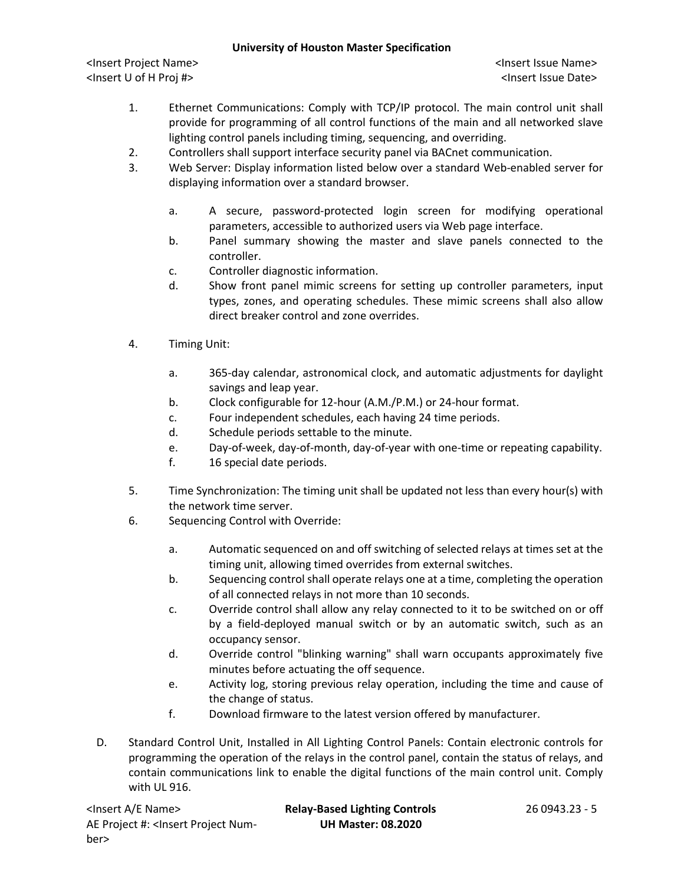### **University of Houston Master Specification**

<Insert Project Name> <Insert Issue Name> <Insert U of H Proj #> <Insert Issue Date>

- 1. Ethernet Communications: Comply with TCP/IP protocol. The main control unit shall provide for programming of all control functions of the main and all networked slave lighting control panels including timing, sequencing, and overriding.
- 2. Controllers shall support interface security panel via BACnet communication.
- 3. Web Server: Display information listed below over a standard Web-enabled server for displaying information over a standard browser.
	- a. A secure, password-protected login screen for modifying operational parameters, accessible to authorized users via Web page interface.
	- b. Panel summary showing the master and slave panels connected to the controller.
	- c. Controller diagnostic information.
	- d. Show front panel mimic screens for setting up controller parameters, input types, zones, and operating schedules. These mimic screens shall also allow direct breaker control and zone overrides.
- 4. Timing Unit:
	- a. 365-day calendar, astronomical clock, and automatic adjustments for daylight savings and leap year.
	- b. Clock configurable for 12-hour (A.M./P.M.) or 24-hour format.
	- c. Four independent schedules, each having 24 time periods.
	- d. Schedule periods settable to the minute.
	- e. Day-of-week, day-of-month, day-of-year with one-time or repeating capability.
	- f. 16 special date periods.
- 5. Time Synchronization: The timing unit shall be updated not less than every hour(s) with the network time server.
- 6. Sequencing Control with Override:
	- a. Automatic sequenced on and off switching of selected relays at times set at the timing unit, allowing timed overrides from external switches.
	- b. Sequencing control shall operate relays one at a time, completing the operation of all connected relays in not more than 10 seconds.
	- c. Override control shall allow any relay connected to it to be switched on or off by a field-deployed manual switch or by an automatic switch, such as an occupancy sensor.
	- d. Override control "blinking warning" shall warn occupants approximately five minutes before actuating the off sequence.
	- e. Activity log, storing previous relay operation, including the time and cause of the change of status.
	- f. Download firmware to the latest version offered by manufacturer.
- D. Standard Control Unit, Installed in All Lighting Control Panels: Contain electronic controls for programming the operation of the relays in the control panel, contain the status of relays, and contain communications link to enable the digital functions of the main control unit. Comply with UL 916.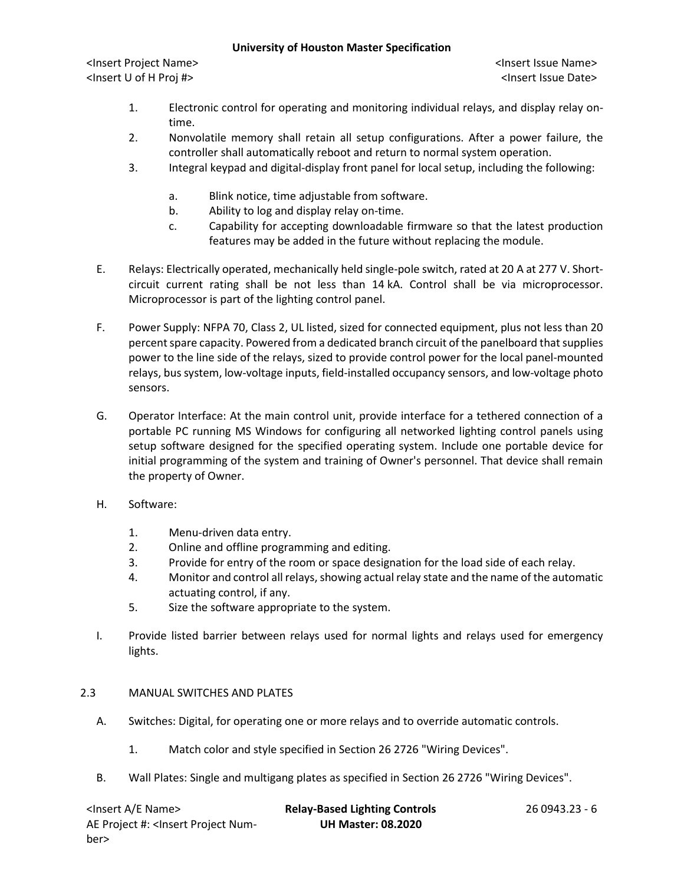#### **University of Houston Master Specification**

<Insert Project Name> <Insert Issue Name> <Insert U of H Proj #> <Insert Issue Date>

- 1. Electronic control for operating and monitoring individual relays, and display relay ontime.
- 2. Nonvolatile memory shall retain all setup configurations. After a power failure, the controller shall automatically reboot and return to normal system operation.
- 3. Integral keypad and digital-display front panel for local setup, including the following:
	- a. Blink notice, time adjustable from software.
	- b. Ability to log and display relay on-time.
	- c. Capability for accepting downloadable firmware so that the latest production features may be added in the future without replacing the module.
- E. Relays: Electrically operated, mechanically held single-pole switch, rated at 20 A at 277 V. Shortcircuit current rating shall be not less than 14 kA. Control shall be via microprocessor. Microprocessor is part of the lighting control panel.
- F. Power Supply: NFPA 70, Class 2, UL listed, sized for connected equipment, plus not less than 20 percent spare capacity. Powered from a dedicated branch circuit of the panelboard that supplies power to the line side of the relays, sized to provide control power for the local panel-mounted relays, bus system, low-voltage inputs, field-installed occupancy sensors, and low-voltage photo sensors.
- G. Operator Interface: At the main control unit, provide interface for a tethered connection of a portable PC running MS Windows for configuring all networked lighting control panels using setup software designed for the specified operating system. Include one portable device for initial programming of the system and training of Owner's personnel. That device shall remain the property of Owner.
- H. Software:
	- 1. Menu-driven data entry.
	- 2. Online and offline programming and editing.
	- 3. Provide for entry of the room or space designation for the load side of each relay.
	- 4. Monitor and control all relays, showing actual relay state and the name of the automatic actuating control, if any.
	- 5. Size the software appropriate to the system.
- I. Provide listed barrier between relays used for normal lights and relays used for emergency lights.

# 2.3 MANUAL SWITCHES AND PLATES

- A. Switches: Digital, for operating one or more relays and to override automatic controls.
	- 1. Match color and style specified in Section 26 2726 "Wiring Devices".
- B. Wall Plates: Single and multigang plates as specified in Section 26 2726 "Wiring Devices".

| <lnsert a="" e="" name=""></lnsert>                                                                  | <b>Relay-Based Lighting Controls</b> | 26 0943.23 - 6 |
|------------------------------------------------------------------------------------------------------|--------------------------------------|----------------|
| AE Project #: <lnsert num-<="" project="" td=""><td><b>UH Master: 08.2020</b></td><td></td></lnsert> | <b>UH Master: 08.2020</b>            |                |
| ber>                                                                                                 |                                      |                |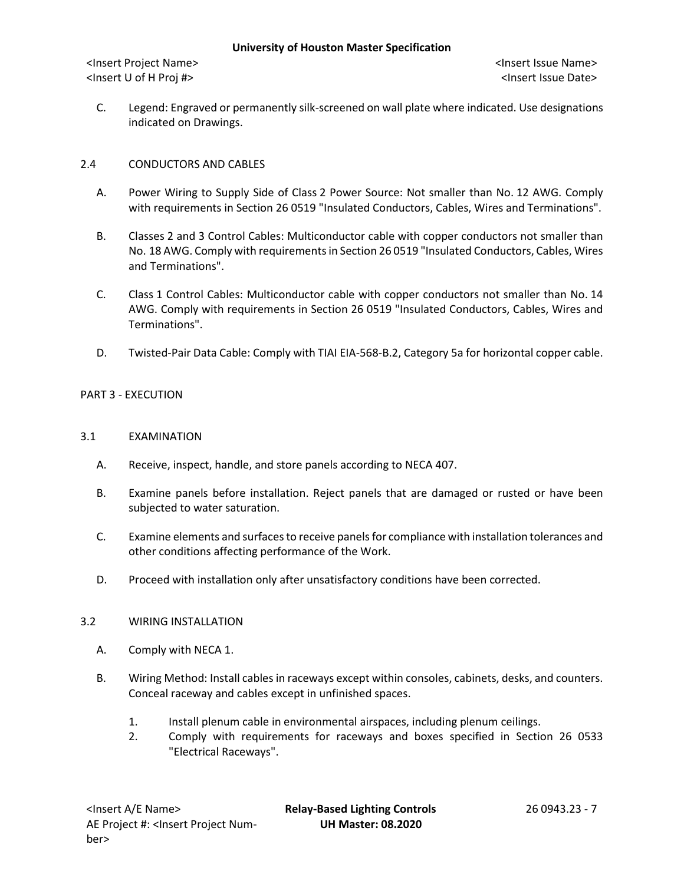C. Legend: Engraved or permanently silk-screened on wall plate where indicated. Use designations indicated on Drawings.

# 2.4 CONDUCTORS AND CABLES

- A. Power Wiring to Supply Side of Class 2 Power Source: Not smaller than No. 12 AWG. Comply with requirements in Section 26 0519 "Insulated Conductors, Cables, Wires and Terminations".
- B. Classes 2 and 3 Control Cables: Multiconductor cable with copper conductors not smaller than No. 18 AWG. Comply with requirements in Section 26 0519 "Insulated Conductors, Cables, Wires and Terminations".
- C. Class 1 Control Cables: Multiconductor cable with copper conductors not smaller than No. 14 AWG. Comply with requirements in Section 26 0519 "Insulated Conductors, Cables, Wires and Terminations".
- D. Twisted-Pair Data Cable: Comply with TIAI EIA-568-B.2, Category 5a for horizontal copper cable.

# PART 3 - EXECUTION

# 3.1 EXAMINATION

- A. Receive, inspect, handle, and store panels according to NECA 407.
- B. Examine panels before installation. Reject panels that are damaged or rusted or have been subjected to water saturation.
- C. Examine elements and surfaces to receive panels for compliance with installation tolerances and other conditions affecting performance of the Work.
- D. Proceed with installation only after unsatisfactory conditions have been corrected.

# 3.2 WIRING INSTALLATION

- A. Comply with NECA 1.
- B. Wiring Method: Install cables in raceways except within consoles, cabinets, desks, and counters. Conceal raceway and cables except in unfinished spaces.
	- 1. Install plenum cable in environmental airspaces, including plenum ceilings.
	- 2. Comply with requirements for raceways and boxes specified in Section 26 0533 "Electrical Raceways".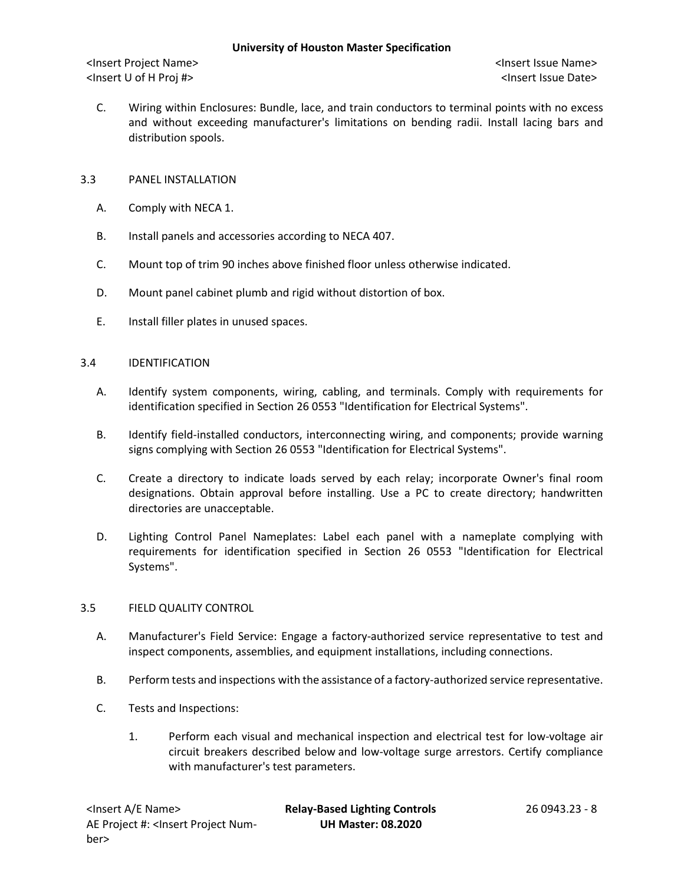C. Wiring within Enclosures: Bundle, lace, and train conductors to terminal points with no excess and without exceeding manufacturer's limitations on bending radii. Install lacing bars and distribution spools.

# 3.3 PANEL INSTALLATION

- A. Comply with NECA 1.
- B. Install panels and accessories according to NECA 407.
- C. Mount top of trim 90 inches above finished floor unless otherwise indicated.
- D. Mount panel cabinet plumb and rigid without distortion of box.
- E. Install filler plates in unused spaces.

#### 3.4 IDENTIFICATION

- A. Identify system components, wiring, cabling, and terminals. Comply with requirements for identification specified in Section 26 0553 "Identification for Electrical Systems".
- B. Identify field-installed conductors, interconnecting wiring, and components; provide warning signs complying with Section 26 0553 "Identification for Electrical Systems".
- C. Create a directory to indicate loads served by each relay; incorporate Owner's final room designations. Obtain approval before installing. Use a PC to create directory; handwritten directories are unacceptable.
- D. Lighting Control Panel Nameplates: Label each panel with a nameplate complying with requirements for identification specified in Section 26 0553 "Identification for Electrical Systems".

# 3.5 FIELD QUALITY CONTROL

- A. Manufacturer's Field Service: Engage a factory-authorized service representative to test and inspect components, assemblies, and equipment installations, including connections.
- B. Perform tests and inspections with the assistance of a factory-authorized service representative.
- C. Tests and Inspections:
	- 1. Perform each visual and mechanical inspection and electrical test for low-voltage air circuit breakers described below and low-voltage surge arrestors. Certify compliance with manufacturer's test parameters.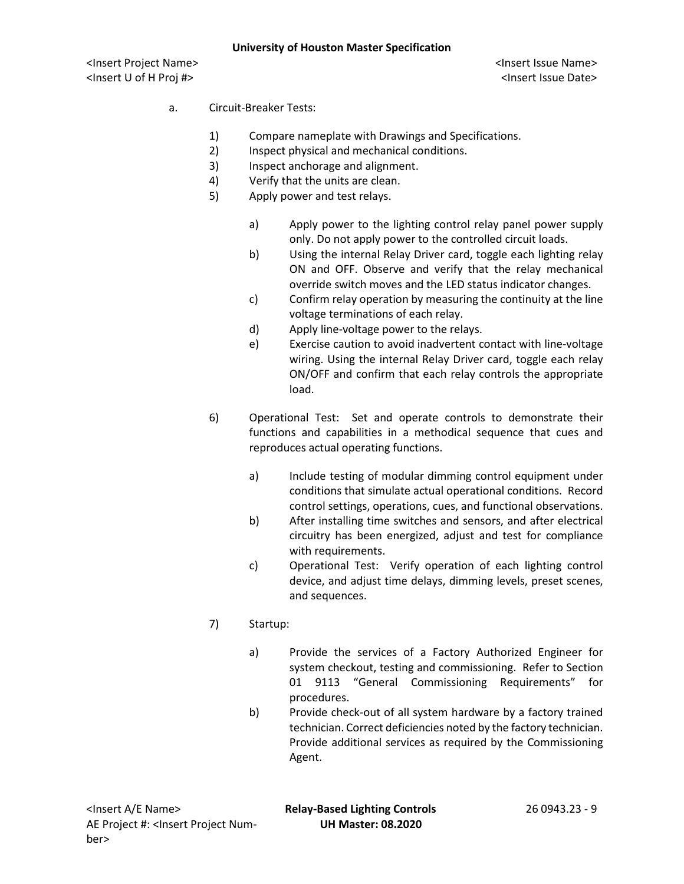### a. Circuit-Breaker Tests:

- 1) Compare nameplate with Drawings and Specifications.
- 2) Inspect physical and mechanical conditions.
- 3) Inspect anchorage and alignment.
- 4) Verify that the units are clean.
- 5) Apply power and test relays.
	- a) Apply power to the lighting control relay panel power supply only. Do not apply power to the controlled circuit loads.
	- b) Using the internal Relay Driver card, toggle each lighting relay ON and OFF. Observe and verify that the relay mechanical override switch moves and the LED status indicator changes.
	- c) Confirm relay operation by measuring the continuity at the line voltage terminations of each relay.
	- d) Apply line-voltage power to the relays.
	- e) Exercise caution to avoid inadvertent contact with line-voltage wiring. Using the internal Relay Driver card, toggle each relay ON/OFF and confirm that each relay controls the appropriate load.
- 6) Operational Test: Set and operate controls to demonstrate their functions and capabilities in a methodical sequence that cues and reproduces actual operating functions.
	- a) Include testing of modular dimming control equipment under conditions that simulate actual operational conditions. Record control settings, operations, cues, and functional observations.
	- b) After installing time switches and sensors, and after electrical circuitry has been energized, adjust and test for compliance with requirements.
	- c) Operational Test: Verify operation of each lighting control device, and adjust time delays, dimming levels, preset scenes, and sequences.
- 7) Startup:
	- a) Provide the services of a Factory Authorized Engineer for system checkout, testing and commissioning. Refer to Section 01 9113 "General Commissioning Requirements" for procedures.
	- b) Provide check-out of all system hardware by a factory trained technician. Correct deficiencies noted by the factory technician. Provide additional services as required by the Commissioning Agent.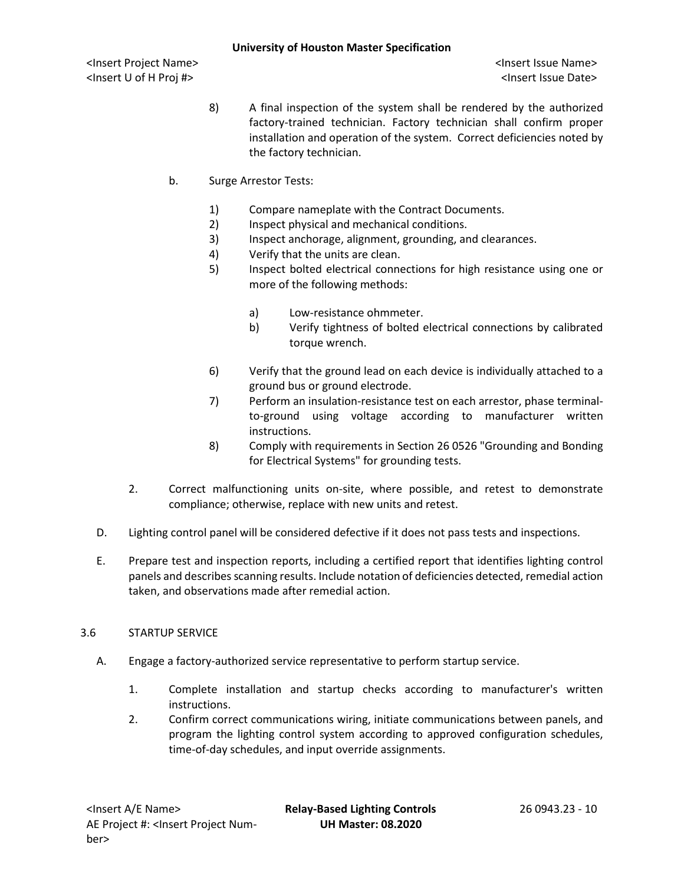- 8) A final inspection of the system shall be rendered by the authorized factory-trained technician. Factory technician shall confirm proper installation and operation of the system. Correct deficiencies noted by the factory technician.
- b. Surge Arrestor Tests:
	- 1) Compare nameplate with the Contract Documents.
	- 2) Inspect physical and mechanical conditions.
	- 3) Inspect anchorage, alignment, grounding, and clearances.
	- 4) Verify that the units are clean.
	- 5) Inspect bolted electrical connections for high resistance using one or more of the following methods:
		- a) Low-resistance ohmmeter.
		- b) Verify tightness of bolted electrical connections by calibrated torque wrench.
	- 6) Verify that the ground lead on each device is individually attached to a ground bus or ground electrode.
	- 7) Perform an insulation-resistance test on each arrestor, phase terminalto-ground using voltage according to manufacturer written instructions.
	- 8) Comply with requirements in Section 26 0526 "Grounding and Bonding for Electrical Systems" for grounding tests.
- 2. Correct malfunctioning units on-site, where possible, and retest to demonstrate compliance; otherwise, replace with new units and retest.
- D. Lighting control panel will be considered defective if it does not pass tests and inspections.
- E. Prepare test and inspection reports, including a certified report that identifies lighting control panels and describes scanning results. Include notation of deficiencies detected, remedial action taken, and observations made after remedial action.

# 3.6 STARTUP SERVICE

- A. Engage a factory-authorized service representative to perform startup service.
	- 1. Complete installation and startup checks according to manufacturer's written instructions.
	- 2. Confirm correct communications wiring, initiate communications between panels, and program the lighting control system according to approved configuration schedules, time-of-day schedules, and input override assignments.